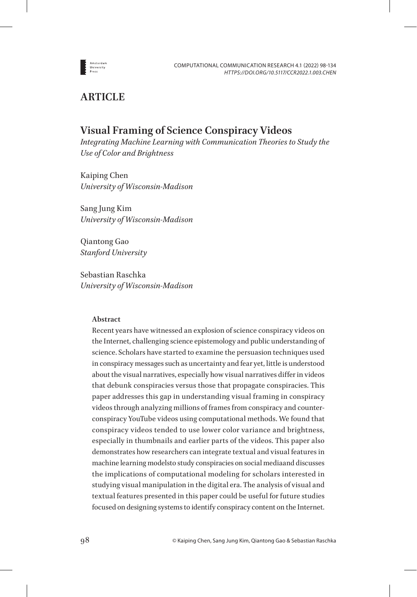

# **ARTICLE**

# **Visual Framing of Science Conspiracy Videos**

*Integrating Machine Learning with Communication Theories to Study the Use of Color and Brightness*

Kaiping Chen *University of Wisconsin-Madison*

Sang Jung Kim *University of Wisconsin-Madison*

Qiantong Gao *Stanford University*

Sebastian Raschka *University of Wisconsin-Madison*

# **Abstract**

Recent years have witnessed an explosion of science conspiracy videos on the Internet, challenging science epistemology and public understanding of science. Scholars have started to examine the persuasion techniques used in conspiracy messages such as uncertainty and fear yet, little is understood about the visual narratives, especially how visual narratives differ in videos that debunk conspiracies versus those that propagate conspiracies. This paper addresses this gap in understanding visual framing in conspiracy videos through analyzing millions of frames from conspiracy and counterconspiracy YouTube videos using computational methods. We found that conspiracy videos tended to use lower color variance and brightness, especially in thumbnails and earlier parts of the videos. This paper also demonstrates how researchers can integrate textual and visual features in machine learning modelsto study conspiracies on social mediaand discusses the implications of computational modeling for scholars interested in studying visual manipulation in the digital era. The analysis of visual and textual features presented in this paper could be useful for future studies focused on designing systems to identify conspiracy content on the Internet.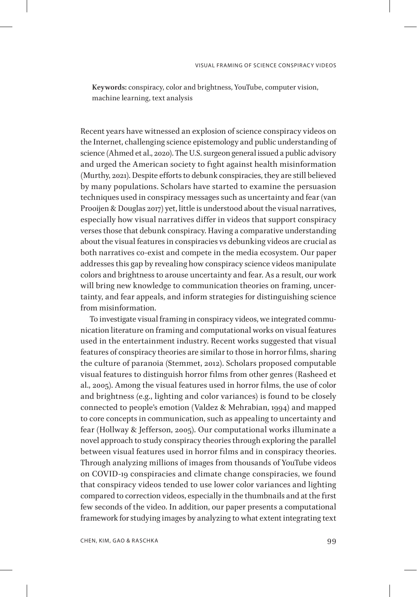**Keywords:** conspiracy, color and brightness, YouTube, computer vision, machine learning, text analysis

Recent years have witnessed an explosion of science conspiracy videos on the Internet, challenging science epistemology and public understanding of science (Ahmed et al., 2020). The U.S. surgeon general issued a public advisory and urged the American society to fight against health misinformation (Murthy, 2021). Despite efforts to debunk conspiracies, they are still believed by many populations. Scholars have started to examine the persuasion techniques used in conspiracy messages such as uncertainty and fear (van Prooijen & Douglas 2017) yet, little is understood about the visual narratives, especially how visual narratives differ in videos that support conspiracy verses those that debunk conspiracy. Having a comparative understanding about the visual features in conspiracies vs debunking videos are crucial as both narratives co-exist and compete in the media ecosystem. Our paper addresses this gap by revealing how conspiracy science videos manipulate colors and brightness to arouse uncertainty and fear. As a result, our work will bring new knowledge to communication theories on framing, uncertainty, and fear appeals, and inform strategies for distinguishing science from misinformation.

To investigate visual framing in conspiracy videos, we integrated communication literature on framing and computational works on visual features used in the entertainment industry. Recent works suggested that visual features of conspiracy theories are similar to those in horror films, sharing the culture of paranoia (Stemmet, 2012). Scholars proposed computable visual features to distinguish horror films from other genres (Rasheed et al., 2005). Among the visual features used in horror films, the use of color and brightness (e.g., lighting and color variances) is found to be closely connected to people's emotion (Valdez & Mehrabian, 1994) and mapped to core concepts in communication, such as appealing to uncertainty and fear (Hollway & Jefferson, 2005). Our computational works illuminate a novel approach to study conspiracy theories through exploring the parallel between visual features used in horror films and in conspiracy theories. Through analyzing millions of images from thousands of YouTube videos on COVID-19 conspiracies and climate change conspiracies, we found that conspiracy videos tended to use lower color variances and lighting compared to correction videos, especially in the thumbnails and at the first few seconds of the video. In addition, our paper presents a computational framework for studying images by analyzing to what extent integrating text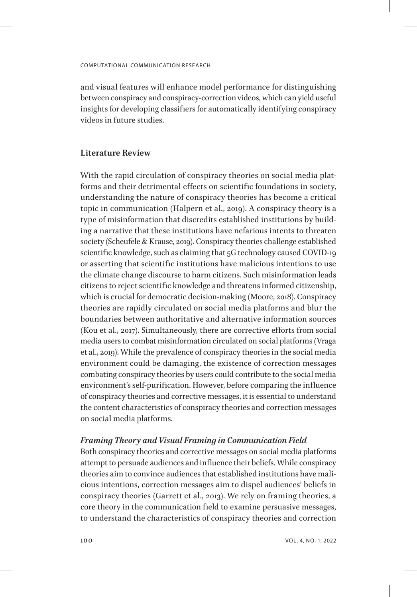and visual features will enhance model performance for distinguishing between conspiracy and conspiracy-correction videos, which can yield useful insights for developing classifiers for automatically identifying conspiracy videos in future studies.

### **Literature Review**

With the rapid circulation of conspiracy theories on social media platforms and their detrimental effects on scientific foundations in society, understanding the nature of conspiracy theories has become a critical topic in communication (Halpern et al., 2019). A conspiracy theory is a type of misinformation that discredits established institutions by building a narrative that these institutions have nefarious intents to threaten society (Scheufele & Krause, 2019). Conspiracy theories challenge established scientific knowledge, such as claiming that 5G technology caused COVID-19 or asserting that scientific institutions have malicious intentions to use the climate change discourse to harm citizens. Such misinformation leads citizens to reject scientific knowledge and threatens informed citizenship, which is crucial for democratic decision-making (Moore, 2018). Conspiracy theories are rapidly circulated on social media platforms and blur the boundaries between authoritative and alternative information sources (Kou et al., 2017). Simultaneously, there are corrective efforts from social media users to combat misinformation circulated on social platforms (Vraga et al., 2019). While the prevalence of conspiracy theories in the social media environment could be damaging, the existence of correction messages combating conspiracy theories by users could contribute to the social media environment's self-purification. However, before comparing the influence of conspiracy theories and corrective messages, it is essential to understand the content characteristics of conspiracy theories and correction messages on social media platforms.

### *Framing Theory and Visual Framing in Communication Field*

Both conspiracy theories and corrective messages on social media platforms attempt to persuade audiences and influence their beliefs. While conspiracy theories aim to convince audiences that established institutions have malicious intentions, correction messages aim to dispel audiences' beliefs in conspiracy theories (Garrett et al., 2013). We rely on framing theories, a core theory in the communication field to examine persuasive messages, to understand the characteristics of conspiracy theories and correction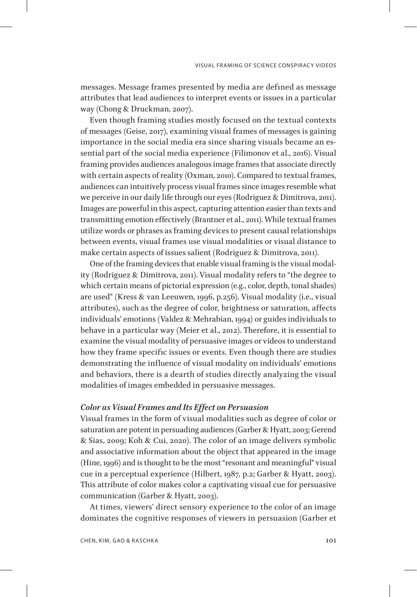messages. Message frames presented by media are defined as message attributes that lead audiences to interpret events or issues in a particular way (Chong & Druckman, 2007).

Even though framing studies mostly focused on the textual contexts of messages (Geise, 2017), examining visual frames of messages is gaining importance in the social media era since sharing visuals became an essential part of the social media experience (Filimonov et al., 2016). Visual framing provides audiences analogous image frames that associate directly with certain aspects of reality (Oxman, 2010). Compared to textual frames, audiences can intuitively process visual frames since images resemble what we perceive in our daily life through our eyes (Rodriguez & Dimitrova, 2011). Images are powerful in this aspect, capturing attention easier than texts and transmitting emotion effectively (Brantner et al., 2011). While textual frames utilize words or phrases as framing devices to present causal relationships between events, visual frames use visual modalities or visual distance to make certain aspects of issues salient (Rodriguez & Dimitrova, 2011).

One of the framing devices that enable visual framing is the visual modality (Rodriguez & Dimitrova, 2011). Visual modality refers to "the degree to which certain means of pictorial expression (e.g., color, depth, tonal shades) are used" (Kress & van Leeuwen, 1996, p.256). Visual modality (i.e., visual attributes), such as the degree of color, brightness or saturation, affects individuals' emotions (Valdez & Mehrabian, 1994) or guides individuals to behave in a particular way (Meier et al., 2012). Therefore, it is essential to examine the visual modality of persuasive images or videos to understand how they frame specific issues or events. Even though there are studies demonstrating the influence of visual modality on individuals' emotions and behaviors, there is a dearth of studies directly analyzing the visual modalities of images embedded in persuasive messages.

### *Color as Visual Frames and Its Effect on Persuasion*

Visual frames in the form of visual modalities such as degree of color or saturation are potent in persuading audiences (Garber & Hyatt, 2003; Gerend & Sias, 2009; Koh & Cui, 2020). The color of an image delivers symbolic and associative information about the object that appeared in the image (Hine, 1996) and is thought to be the most "resonant and meaningful" visual cue in a perceptual experience (Hilbert, 1987, p.2; Garber & Hyatt, 2003). This attribute of color makes color a captivating visual cue for persuasive communication (Garber & Hyatt, 2003).

At times, viewers' direct sensory experience to the color of an image dominates the cognitive responses of viewers in persuasion (Garber et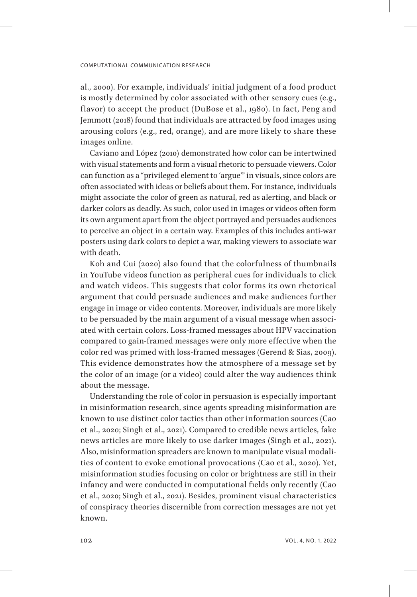al., 2000). For example, individuals' initial judgment of a food product is mostly determined by color associated with other sensory cues (e.g., flavor) to accept the product (DuBose et al., 1980). In fact, Peng and Jemmott (2018) found that individuals are attracted by food images using arousing colors (e.g., red, orange), and are more likely to share these images online.

Caviano and López (2010) demonstrated how color can be intertwined with visual statements and form a visual rhetoric to persuade viewers. Color can function as a "privileged element to 'argue'" in visuals, since colors are often associated with ideas or beliefs about them. For instance, individuals might associate the color of green as natural, red as alerting, and black or darker colors as deadly. As such, color used in images or videos often form its own argument apart from the object portrayed and persuades audiences to perceive an object in a certain way. Examples of this includes anti-war posters using dark colors to depict a war, making viewers to associate war with death.

Koh and Cui (2020) also found that the colorfulness of thumbnails in YouTube videos function as peripheral cues for individuals to click and watch videos. This suggests that color forms its own rhetorical argument that could persuade audiences and make audiences further engage in image or video contents. Moreover, individuals are more likely to be persuaded by the main argument of a visual message when associated with certain colors. Loss-framed messages about HPV vaccination compared to gain-framed messages were only more effective when the color red was primed with loss-framed messages (Gerend & Sias, 2009). This evidence demonstrates how the atmosphere of a message set by the color of an image (or a video) could alter the way audiences think about the message.

Understanding the role of color in persuasion is especially important in misinformation research, since agents spreading misinformation are known to use distinct color tactics than other information sources (Cao et al., 2020; Singh et al., 2021). Compared to credible news articles, fake news articles are more likely to use darker images (Singh et al., 2021). Also, misinformation spreaders are known to manipulate visual modalities of content to evoke emotional provocations (Cao et al., 2020). Yet, misinformation studies focusing on color or brightness are still in their infancy and were conducted in computational fields only recently (Cao et al., 2020; Singh et al., 2021). Besides, prominent visual characteristics of conspiracy theories discernible from correction messages are not yet known.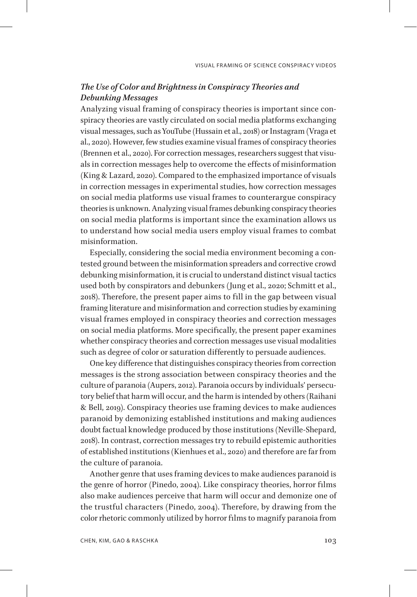# *The Use of Color and Brightness in Conspiracy Theories and Debunking Messages*

Analyzing visual framing of conspiracy theories is important since conspiracy theories are vastly circulated on social media platforms exchanging visual messages, such as YouTube (Hussain et al., 2018) or Instagram (Vraga et al., 2020). However, few studies examine visual frames of conspiracy theories (Brennen et al., 2020). For correction messages, researchers suggest that visuals in correction messages help to overcome the effects of misinformation (King & Lazard, 2020). Compared to the emphasized importance of visuals in correction messages in experimental studies, how correction messages on social media platforms use visual frames to counterargue conspiracy theories is unknown. Analyzing visual frames debunking conspiracy theories on social media platforms is important since the examination allows us to understand how social media users employ visual frames to combat misinformation.

Especially, considering the social media environment becoming a contested ground between the misinformation spreaders and corrective crowd debunking misinformation, it is crucial to understand distinct visual tactics used both by conspirators and debunkers (Jung et al., 2020; Schmitt et al., 2018). Therefore, the present paper aims to fill in the gap between visual framing literature and misinformation and correction studies by examining visual frames employed in conspiracy theories and correction messages on social media platforms. More specifically, the present paper examines whether conspiracy theories and correction messages use visual modalities such as degree of color or saturation differently to persuade audiences.

One key difference that distinguishes conspiracy theories from correction messages is the strong association between conspiracy theories and the culture of paranoia (Aupers, 2012). Paranoia occurs by individuals' persecutory belief that harm will occur, and the harm is intended by others (Raihani & Bell, 2019). Conspiracy theories use framing devices to make audiences paranoid by demonizing established institutions and making audiences doubt factual knowledge produced by those institutions (Neville-Shepard, 2018). In contrast, correction messages try to rebuild epistemic authorities of established institutions (Kienhues et al., 2020) and therefore are far from the culture of paranoia.

Another genre that uses framing devices to make audiences paranoid is the genre of horror (Pinedo, 2004). Like conspiracy theories, horror films also make audiences perceive that harm will occur and demonize one of the trustful characters (Pinedo, 2004). Therefore, by drawing from the color rhetoric commonly utilized by horror films to magnify paranoia from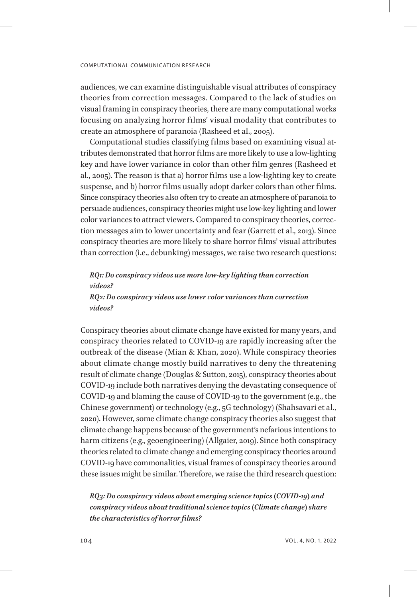audiences, we can examine distinguishable visual attributes of conspiracy theories from correction messages. Compared to the lack of studies on visual framing in conspiracy theories, there are many computational works focusing on analyzing horror films' visual modality that contributes to create an atmosphere of paranoia (Rasheed et al., 2005).

Computational studies classifying films based on examining visual attributes demonstrated that horror films are more likely to use a low-lighting key and have lower variance in color than other film genres (Rasheed et al., 2005). The reason is that a) horror films use a low-lighting key to create suspense, and b) horror films usually adopt darker colors than other films. Since conspiracy theories also often try to create an atmosphere of paranoia to persuade audiences, conspiracy theories might use low-key lighting and lower color variances to attract viewers. Compared to conspiracy theories, correction messages aim to lower uncertainty and fear (Garrett et al., 2013). Since conspiracy theories are more likely to share horror films' visual attributes than correction (i.e., debunking) messages, we raise two research questions:

*RQ1: Do conspiracy videos use more low-key lighting than correction videos? RQ2: Do conspiracy videos use lower color variances than correction videos?*

Conspiracy theories about climate change have existed for many years, and conspiracy theories related to COVID-19 are rapidly increasing after the outbreak of the disease (Mian & Khan, 2020). While conspiracy theories about climate change mostly build narratives to deny the threatening result of climate change (Douglas & Sutton, 2015), conspiracy theories about COVID-19 include both narratives denying the devastating consequence of COVID-19 and blaming the cause of COVID-19 to the government (e.g., the Chinese government) or technology (e.g., 5G technology) (Shahsavari et al., 2020). However, some climate change conspiracy theories also suggest that climate change happens because of the government's nefarious intentions to harm citizens (e.g., geoengineering) (Allgaier, 2019). Since both conspiracy theories related to climate change and emerging conspiracy theories around COVID-19 have commonalities, visual frames of conspiracy theories around these issues might be similar. Therefore, we raise the third research question:

*RQ3: Do conspiracy videos about emerging science topics (COVID-19) and conspiracy videos about traditional science topics (Climate change) share the characteristics of horror films?*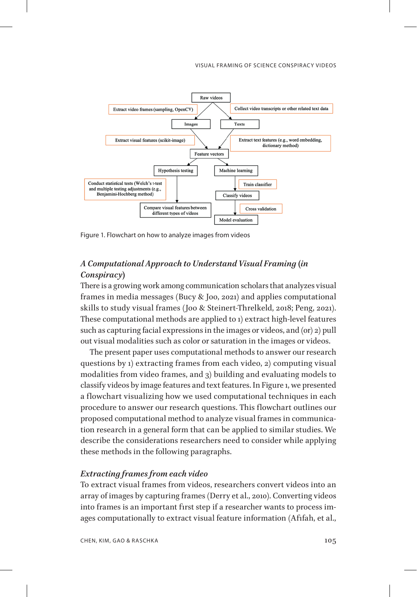#### VISUAL FRAMING OF SCIENCE CONSPIRACY VIDEOS



Figure 1. Flowchart on how to analyze images from videos

# *A Computational Approach to Understand Visual Framing (in Conspiracy)*

There is a growing work among communication scholars that analyzes visual frames in media messages (Bucy & Joo, 2021) and applies computational skills to study visual frames (Joo & Steinert-Threlkeld, 2018; Peng, 2021). These computational methods are applied to 1) extract high-level features such as capturing facial expressions in the images or videos, and (or) 2) pull out visual modalities such as color or saturation in the images or videos.

The present paper uses computational methods to answer our research questions by 1) extracting frames from each video, 2) computing visual modalities from video frames, and 3) building and evaluating models to classify videos by image features and text features. In Figure 1, we presented a flowchart visualizing how we used computational techniques in each procedure to answer our research questions. This flowchart outlines our proposed computational method to analyze visual frames in communication research in a general form that can be applied to similar studies. We describe the considerations researchers need to consider while applying these methods in the following paragraphs.

### *Extracting frames from each video*

To extract visual frames from videos, researchers convert videos into an array of images by capturing frames (Derry et al., 2010). Converting videos into frames is an important first step if a researcher wants to process images computationally to extract visual feature information (Afifah, et al.,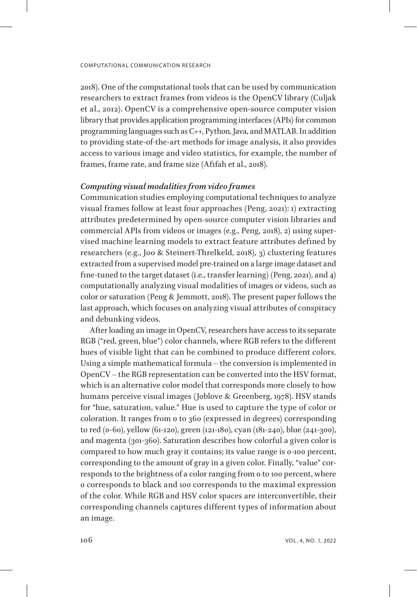2018). One of the computational tools that can be used by communication researchers to extract frames from videos is the OpenCV library (Culjak et al., 2012). OpenCV is a comprehensive open-source computer vision library that provides application programming interfaces (APIs) for common programming languages such as C++, Python, Java, and MATLAB. In addition to providing state-of-the-art methods for image analysis, it also provides access to various image and video statistics, for example, the number of frames, frame rate, and frame size (Afifah et al., 2018).

### *Computing visual modalities from video frames*

Communication studies employing computational techniques to analyze visual frames follow at least four approaches (Peng, 2021): 1) extracting attributes predetermined by open-source computer vision libraries and commercial APIs from videos or images (e.g., Peng, 2018), 2) using supervised machine learning models to extract feature attributes defined by researchers (e.g., Joo & Steinert-Threlkeld, 2018), 3) clustering features extracted from a supervised model pre-trained on a large image dataset and fine-tuned to the target dataset (i.e., transfer learning) (Peng, 2021), and 4) computationally analyzing visual modalities of images or videos, such as color or saturation (Peng & Jemmott, 2018). The present paper follows the last approach, which focuses on analyzing visual attributes of conspiracy and debunking videos.

After loading an image in OpenCV, researchers have access to its separate RGB ("red, green, blue") color channels, where RGB refers to the different hues of visible light that can be combined to produce different colors. Using a simple mathematical formula – the conversion is implemented in OpenCV – the RGB representation can be converted into the HSV format, which is an alternative color model that corresponds more closely to how humans perceive visual images (Joblove & Greenberg, 1978). HSV stands for "hue, saturation, value." Hue is used to capture the type of color or coloration. It ranges from 0 to 360 (expressed in degrees) corresponding to red (0-60), yellow (61-120), green (121-180), cyan (181-240), blue (241-300), and magenta (301-360). Saturation describes how colorful a given color is compared to how much gray it contains; its value range is 0-100 percent, corresponding to the amount of gray in a given color. Finally, "value" corresponds to the brightness of a color ranging from 0 to 100 percent, where 0 corresponds to black and 100 corresponds to the maximal expression of the color. While RGB and HSV color spaces are interconvertible, their corresponding channels captures different types of information about an image.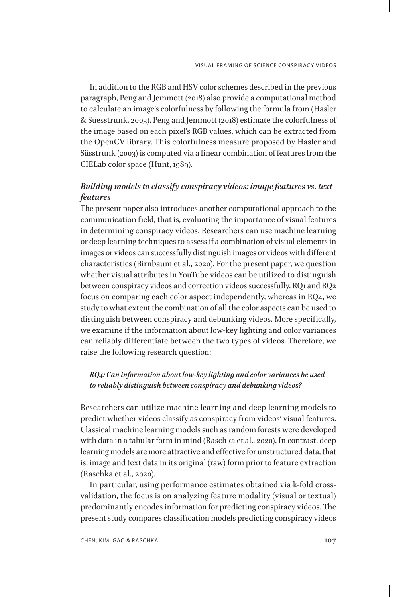In addition to the RGB and HSV color schemes described in the previous paragraph, Peng and Jemmott (2018) also provide a computational method to calculate an image's colorfulness by following the formula from (Hasler & Suesstrunk, 2003). Peng and Jemmott (2018) estimate the colorfulness of the image based on each pixel's RGB values, which can be extracted from the OpenCV library. This colorfulness measure proposed by Hasler and Süsstrunk (2003) is computed via a linear combination of features from the CIELab color space (Hunt, 1989).

# *Building models to classify conspiracy videos: image features vs. text features*

The present paper also introduces another computational approach to the communication field, that is, evaluating the importance of visual features in determining conspiracy videos. Researchers can use machine learning or deep learning techniques to assess if a combination of visual elements in images or videos can successfully distinguish images or videos with different characteristics (Birnbaum et al., 2020). For the present paper, we question whether visual attributes in YouTube videos can be utilized to distinguish between conspiracy videos and correction videos successfully. RQ1 and RQ2 focus on comparing each color aspect independently, whereas in RQ4, we study to what extent the combination of all the color aspects can be used to distinguish between conspiracy and debunking videos. More specifically, we examine if the information about low-key lighting and color variances can reliably differentiate between the two types of videos. Therefore, we raise the following research question:

# *RQ4: Can information about low-key lighting and color variances be used to reliably distinguish between conspiracy and debunking videos?*

Researchers can utilize machine learning and deep learning models to predict whether videos classify as conspiracy from videos' visual features. Classical machine learning models such as random forests were developed with data in a tabular form in mind (Raschka et al., 2020). In contrast, deep learning models are more attractive and effective for unstructured data, that is, image and text data in its original (raw) form prior to feature extraction (Raschka et al., 2020).

In particular, using performance estimates obtained via k-fold crossvalidation, the focus is on analyzing feature modality (visual or textual) predominantly encodes information for predicting conspiracy videos. The present study compares classification models predicting conspiracy videos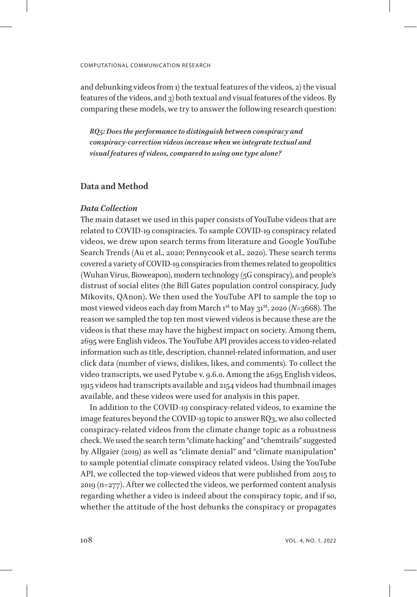and debunking videos from 1) the textual features of the videos, 2) the visual features of the videos, and 3) both textual and visual features of the videos. By comparing these models, we try to answer the following research question:

*RQ5: Does the performance to distinguish between conspiracy and conspiracy-correction videos increase when we integrate textual and visual features of videos, compared to using one type alone?*

# **Data and Method**

### *Data Collection*

The main dataset we used in this paper consists of YouTube videos that are related to COVID-19 conspiracies. To sample COVID-19 conspiracy related videos, we drew upon search terms from literature and Google YouTube Search Trends (Au et al., 2020; Pennycook et al., 2020). These search terms covered a variety of COVID-19 conspiracies from themes related to geopolitics (Wuhan Virus, Bioweapon), modern technology (5G conspiracy), and people's distrust of social elites (the Bill Gates population control conspiracy, Judy Mikovits, QAnon). We then used the YouTube API to sample the top 10 most viewed videos each day from March 1 st to May 31st, 2020 (*N*=3668). The reason we sampled the top ten most viewed videos is because these are the videos is that these may have the highest impact on society. Among them, 2695 were English videos. The YouTube API provides access to video-related information such as title, description, channel-related information, and user click data (number of views, dislikes, likes, and comments). To collect the video transcripts, we used Pytube v. 9.6.0. Among the 2695 English videos, 1915 videos had transcripts available and 2154 videos had thumbnail images available, and these videos were used for analysis in this paper.

In addition to the COVID-19 conspiracy-related videos, to examine the image features beyond the COVID-19 topic to answer RQ3, we also collected conspiracy-related videos from the climate change topic as a robustness check. We used the search term "climate hacking" and "chemtrails" suggested by Allgaier (2019) as well as "climate denial" and "climate manipulation" to sample potential climate conspiracy related videos. Using the YouTube API, we collected the top-viewed videos that were published from 2015 to 2019 (n=277). After we collected the videos, we performed content analysis regarding whether a video is indeed about the conspiracy topic, and if so, whether the attitude of the host debunks the conspiracy or propagates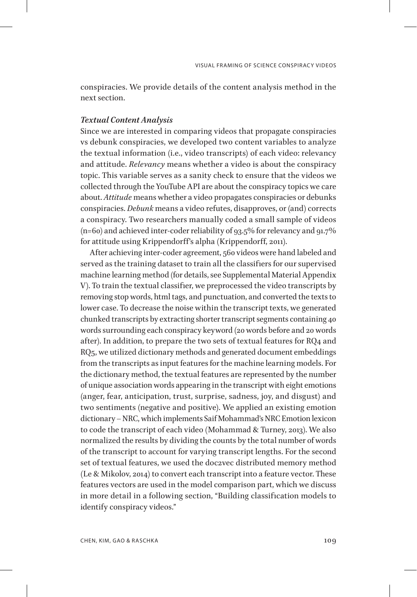conspiracies. We provide details of the content analysis method in the next section.

### *Textual Content Analysis*

Since we are interested in comparing videos that propagate conspiracies vs debunk conspiracies, we developed two content variables to analyze the textual information (i.e., video transcripts) of each video: relevancy and attitude. *Relevancy* means whether a video is about the conspiracy topic. This variable serves as a sanity check to ensure that the videos we collected through the YouTube API are about the conspiracy topics we care about. *Attitude* means whether a video propagates conspiracies or debunks conspiracies. *Debunk* means a video refutes, disapproves, or (and) corrects a conspiracy. Two researchers manually coded a small sample of videos  $(n=60)$  and achieved inter-coder reliability of 93.5% for relevancy and 91.7% for attitude using Krippendorff's alpha (Krippendorff, 2011).

After achieving inter-coder agreement, 560 videos were hand labeled and served as the training dataset to train all the classifiers for our supervised machine learning method (for details, see Supplemental Material Appendix V). To train the textual classifier, we preprocessed the video transcripts by removing stop words, html tags, and punctuation, and converted the texts to lower case. To decrease the noise within the transcript texts, we generated chunked transcripts by extracting shorter transcript segments containing 40 words surrounding each conspiracy keyword (20 words before and 20 words after). In addition, to prepare the two sets of textual features for RQ4 and RQ5, we utilized dictionary methods and generated document embeddings from the transcripts as input features for the machine learning models. For the dictionary method, the textual features are represented by the number of unique association words appearing in the transcript with eight emotions (anger, fear, anticipation, trust, surprise, sadness, joy, and disgust) and two sentiments (negative and positive). We applied an existing emotion dictionary – NRC, which implements Saif Mohammad's NRC Emotion lexicon to code the transcript of each video (Mohammad & Turney, 2013). We also normalized the results by dividing the counts by the total number of words of the transcript to account for varying transcript lengths. For the second set of textual features, we used the doc2vec distributed memory method (Le & Mikolov, 2014) to convert each transcript into a feature vector. These features vectors are used in the model comparison part, which we discuss in more detail in a following section, "Building classification models to identify conspiracy videos."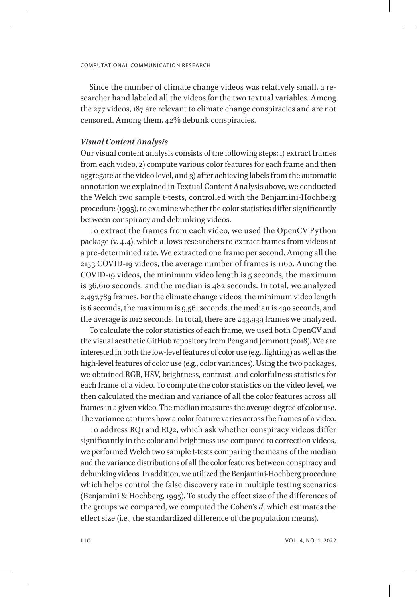Since the number of climate change videos was relatively small, a researcher hand labeled all the videos for the two textual variables. Among the 277 videos, 187 are relevant to climate change conspiracies and are not censored. Among them, 42% debunk conspiracies.

#### *Visual Content Analysis*

Our visual content analysis consists of the following steps: 1) extract frames from each video, 2) compute various color features for each frame and then aggregate at the video level, and 3) after achieving labels from the automatic annotation we explained in Textual Content Analysis above, we conducted the Welch two sample t-tests, controlled with the Benjamini-Hochberg procedure (1995), to examine whether the color statistics differ significantly between conspiracy and debunking videos.

To extract the frames from each video, we used the OpenCV Python package (v. 4.4), which allows researchers to extract frames from videos at a pre-determined rate. We extracted one frame per second. Among all the 2153 COVID-19 videos, the average number of frames is 1160. Among the COVID-19 videos, the minimum video length is 5 seconds, the maximum is 36,610 seconds, and the median is 482 seconds. In total, we analyzed 2,497,789 frames. For the climate change videos, the minimum video length is 6 seconds, the maximum is 9,561 seconds, the median is 490 seconds, and the average is 1012 seconds. In total, there are 243,939 frames we analyzed.

To calculate the color statistics of each frame, we used both OpenCV and the visual aesthetic GitHub repository from Peng and Jemmott (2018). We are interested in both the low-level features of color use (e.g., lighting) as well as the high-level features of color use (e.g., color variances). Using the two packages, we obtained RGB, HSV, brightness, contrast, and colorfulness statistics for each frame of a video. To compute the color statistics on the video level, we then calculated the median and variance of all the color features across all frames in a given video. The median measures the average degree of color use. The variance captures how a color feature varies across the frames of a video.

To address RQ1 and RQ2, which ask whether conspiracy videos differ significantly in the color and brightness use compared to correction videos, we performed Welch two sample t-tests comparing the means of the median and the variance distributions of all the color features between conspiracy and debunking videos. In addition, we utilized the Benjamini-Hochberg procedure which helps control the false discovery rate in multiple testing scenarios (Benjamini & Hochberg, 1995). To study the effect size of the differences of the groups we compared, we computed the Cohen's *d*, which estimates the effect size (i.e., the standardized difference of the population means).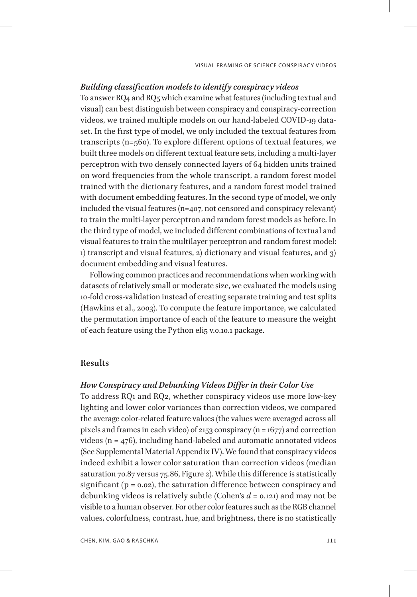### *Building classification models to identify conspiracy videos*

To answer RQ4 and RQ5 which examine what features (including textual and visual) can best distinguish between conspiracy and conspiracy-correction videos, we trained multiple models on our hand-labeled COVID-19 dataset. In the first type of model, we only included the textual features from transcripts (n=560). To explore different options of textual features, we built three models on different textual feature sets, including a multi-layer perceptron with two densely connected layers of 64 hidden units trained on word frequencies from the whole transcript, a random forest model trained with the dictionary features, and a random forest model trained with document embedding features. In the second type of model, we only included the visual features (n=407, not censored and conspiracy relevant) to train the multi-layer perceptron and random forest models as before. In the third type of model, we included different combinations of textual and visual features to train the multilayer perceptron and random forest model: 1) transcript and visual features, 2) dictionary and visual features, and 3) document embedding and visual features.

Following common practices and recommendations when working with datasets of relatively small or moderate size, we evaluated the models using 10-fold cross-validation instead of creating separate training and test splits (Hawkins et al., 2003). To compute the feature importance, we calculated the permutation importance of each of the feature to measure the weight of each feature using the Python eli5 v.0.10.1 package.

# **Results**

# *How Conspiracy and Debunking Videos Differ in their Color Use*

To address RQ1 and RQ2, whether conspiracy videos use more low-key lighting and lower color variances than correction videos, we compared the average color-related feature values (the values were averaged across all pixels and frames in each video) of 2153 conspiracy ( $n = 1677$ ) and correction videos (n = 476), including hand-labeled and automatic annotated videos (See Supplemental Material Appendix IV). We found that conspiracy videos indeed exhibit a lower color saturation than correction videos (median saturation 70.87 versus 75.86, Figure 2). While this difference is statistically significant ( $p = 0.02$ ), the saturation difference between conspiracy and debunking videos is relatively subtle (Cohen's *d* = 0.121) and may not be visible to a human observer. For other color features such as the RGB channel values, colorfulness, contrast, hue, and brightness, there is no statistically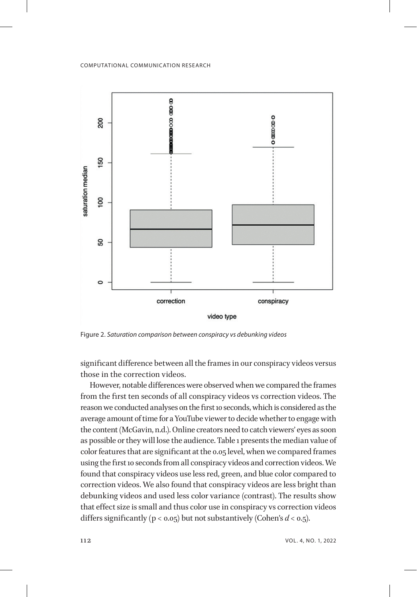

Figure 2. *Saturation comparison between conspiracy vs debunking videos*

significant difference between all the frames in our conspiracy videos versus those in the correction videos.

However, notable differences were observed when we compared the frames from the first ten seconds of all conspiracy videos vs correction videos. The reason we conducted analyses on the first 10 seconds, which is considered as the average amount of time for a YouTube viewer to decide whether to engage with the content (McGavin, n.d.). Online creators need to catch viewers' eyes as soon as possible or they will lose the audience. Table 1 presents the median value of color features that are significant at the 0.05 level, when we compared frames using the first 10 seconds from all conspiracy videos and correction videos. We found that conspiracy videos use less red, green, and blue color compared to correction videos. We also found that conspiracy videos are less bright than debunking videos and used less color variance (contrast). The results show that effect size is small and thus color use in conspiracy vs correction videos differs significantly ( $p < 0.05$ ) but not substantively (Cohen's  $d < 0.5$ ).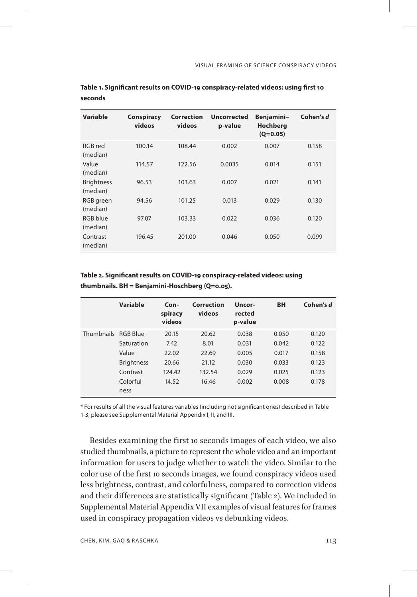| <b>Variable</b>               | Conspiracy<br>videos | Correction<br>videos | <b>Uncorrected</b><br>p-value | Benjamini-<br><b>Hochberg</b><br>$(Q=0.05)$ | Cohen's d |
|-------------------------------|----------------------|----------------------|-------------------------------|---------------------------------------------|-----------|
| RGB red<br>(median)           | 100.14               | 108.44               | 0.002                         | 0.007                                       | 0.158     |
| Value<br>(median)             | 114.57               | 122.56               | 0.0035                        | 0.014                                       | 0.151     |
| <b>Brightness</b><br>(median) | 96.53                | 103.63               | 0.007                         | 0.021                                       | 0.141     |
| RGB green<br>(median)         | 94.56                | 101.25               | 0.013                         | 0.029                                       | 0.130     |
| RGB blue<br>(median)          | 97.07                | 103.33               | 0.022                         | 0.036                                       | 0.120     |
| Contrast<br>(median)          | 196.45               | 201.00               | 0.046                         | 0.050                                       | 0.099     |

### **Table 1. Significant results on COVID-19 conspiracy-related videos: using first 10 seconds**

**Table 2. Significant results on COVID-19 conspiracy-related videos: using thumbnails. BH = Benjamini-Hoschberg (Q=0.05).**

|                     | Variable          | $Con-$<br>spiracy<br>videos | Correction<br>videos | Uncor-<br>rected<br>p-value | <b>BH</b> | Cohen's d |
|---------------------|-------------------|-----------------------------|----------------------|-----------------------------|-----------|-----------|
| Thumbnails RGB Blue |                   | 20.15                       | 20.62                | 0.038                       | 0.050     | 0.120     |
|                     | Saturation        | 7.42                        | 8.01                 | 0.031                       | 0.042     | 0.122     |
|                     | Value             | 22.02                       | 22.69                | 0.005                       | 0.017     | 0.158     |
|                     | <b>Brightness</b> | 20.66                       | 21.12                | 0.030                       | 0.033     | 0.123     |
|                     | Contrast          | 124.42                      | 132.54               | 0.029                       | 0.025     | 0.123     |
|                     | Colorful-         | 14.52                       | 16.46                | 0.002                       | 0.008     | 0.178     |
|                     | ness              |                             |                      |                             |           |           |

\* For results of all the visual features variables (including not significant ones) described in Table 1-3, please see Supplemental Material Appendix I, II, and III.

Besides examining the first 10 seconds images of each video, we also studied thumbnails, a picture to represent the whole video and an important information for users to judge whether to watch the video. Similar to the color use of the first 10 seconds images, we found conspiracy videos used less brightness, contrast, and colorfulness, compared to correction videos and their differences are statistically significant (Table 2). We included in Supplemental Material Appendix VII examples of visual features for frames used in conspiracy propagation videos vs debunking videos.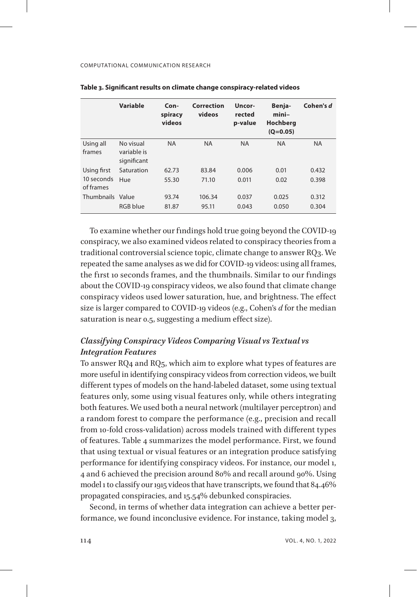|                         | Variable                                | $Con-$<br>spiracy<br>videos | Correction<br>videos | Uncor-<br>rected<br>p-value | Benja-<br>$mini-$<br><b>Hochberg</b><br>$(Q=0.05)$ | Cohen's d |
|-------------------------|-----------------------------------------|-----------------------------|----------------------|-----------------------------|----------------------------------------------------|-----------|
| Using all<br>frames     | No visual<br>variable is<br>significant | <b>NA</b>                   | <b>NA</b>            | <b>NA</b>                   | <b>NA</b>                                          | <b>NA</b> |
| Using first             | Saturation                              | 62.73                       | 83.84                | 0.006                       | 0.01                                               | 0.432     |
| 10 seconds<br>of frames | Hue                                     | 55.30                       | 71.10                | 0.011                       | 0.02                                               | 0.398     |
| Thumbnails Value        |                                         | 93.74                       | 106.34               | 0.037                       | 0.025                                              | 0.312     |
|                         | RGB blue                                | 81.87                       | 95.11                | 0.043                       | 0.050                                              | 0.304     |

| Table 3. Significant results on climate change conspiracy-related videos |  |  |  |  |
|--------------------------------------------------------------------------|--|--|--|--|
|--------------------------------------------------------------------------|--|--|--|--|

To examine whether our findings hold true going beyond the COVID-19 conspiracy, we also examined videos related to conspiracy theories from a traditional controversial science topic, climate change to answer RQ3. We repeated the same analyses as we did for COVID-19 videos: using all frames, the first 10 seconds frames, and the thumbnails. Similar to our findings about the COVID-19 conspiracy videos, we also found that climate change conspiracy videos used lower saturation, hue, and brightness. The effect size is larger compared to COVID-19 videos (e.g., Cohen's *d* for the median saturation is near 0.5, suggesting a medium effect size).

# *Classifying Conspiracy Videos Comparing Visual vs Textual vs Integration Features*

To answer RQ4 and RQ5, which aim to explore what types of features are more useful in identifying conspiracy videos from correction videos, we built different types of models on the hand-labeled dataset, some using textual features only, some using visual features only, while others integrating both features. We used both a neural network (multilayer perceptron) and a random forest to compare the performance (e.g., precision and recall from 10-fold cross-validation) across models trained with different types of features. Table 4 summarizes the model performance. First, we found that using textual or visual features or an integration produce satisfying performance for identifying conspiracy videos. For instance, our model 1, 4 and 6 achieved the precision around 80% and recall around 90%. Using model 1 to classify our 1915 videos that have transcripts, we found that 84.46% propagated conspiracies, and 15.54% debunked conspiracies.

Second, in terms of whether data integration can achieve a better performance, we found inconclusive evidence. For instance, taking model 3,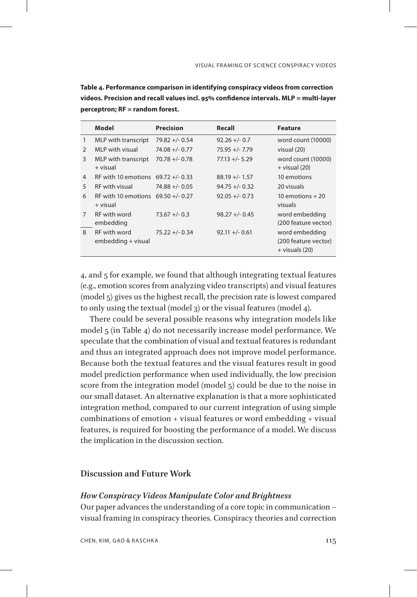**Table 4. Performance comparison in identifying conspiracy videos from correction videos. Precision and recall values incl. 95% confidence intervals. MLP = multi-layer perceptron; RF = random forest.**

|                | Model                                            | <b>Precision</b>  | Recall            | <b>Feature</b>                                             |
|----------------|--------------------------------------------------|-------------------|-------------------|------------------------------------------------------------|
| 1              | MLP with transcript                              | $79.82 + - 0.54$  | $92.26 + - 0.7$   | word count (10000)                                         |
| $\mathcal{P}$  | MLP with visual                                  | $74.08 + -0.77$   | $75.95 +/- 7.79$  | visual (20)                                                |
| 3              | MLP with transcript<br>+ visual                  | $70.78 + (-0.78)$ | $77.13 + (-5.29)$ | word count (10000)<br>$+$ visual (20)                      |
| 4              | RF with 10 emotions $69.72 +/- 0.33$             |                   | $88.19 +/- 1.57$  | 10 emotions                                                |
| 5              | <b>RF</b> with visual                            | $74.88 + - 0.05$  | $94.75 + (-0.32)$ | 20 visuals                                                 |
| 6              | RF with 10 emotions $69.50 +/- 0.27$<br>+ visual |                   | $92.05 +/- 0.73$  | 10 emotions $+20$<br>visuals                               |
| $\overline{7}$ | <b>RF</b> with word<br>embedding                 | $73.67 + - 0.3$   | $98.27 + - 0.45$  | word embedding<br>(200 feature vector)                     |
| $\mathsf{R}$   | <b>RF</b> with word<br>embedding + visual        | $75.22 + - 0.34$  | $92.11 +/- 0.61$  | word embedding<br>(200 feature vector)<br>$+$ visuals (20) |

4, and 5 for example, we found that although integrating textual features (e.g., emotion scores from analyzing video transcripts) and visual features (model 5) gives us the highest recall, the precision rate is lowest compared to only using the textual (model 3) or the visual features (model 4).

There could be several possible reasons why integration models like model 5 (in Table 4) do not necessarily increase model performance. We speculate that the combination of visual and textual features is redundant and thus an integrated approach does not improve model performance. Because both the textual features and the visual features result in good model prediction performance when used individually, the low precision score from the integration model (model 5) could be due to the noise in our small dataset. An alternative explanation is that a more sophisticated integration method, compared to our current integration of using simple combinations of emotion + visual features or word embedding + visual features, is required for boosting the performance of a model. We discuss the implication in the discussion section.

### **Discussion and Future Work**

#### *How Conspiracy Videos Manipulate Color and Brightness*

Our paper advances the understanding of a core topic in communication – visual framing in conspiracy theories. Conspiracy theories and correction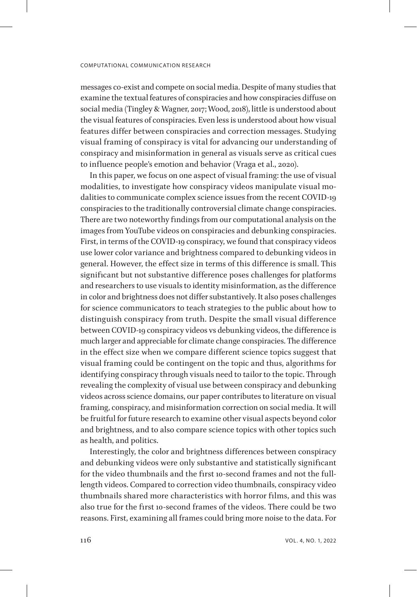messages co-exist and compete on social media. Despite of many studies that examine the textual features of conspiracies and how conspiracies diffuse on social media (Tingley & Wagner, 2017; Wood, 2018), little is understood about the visual features of conspiracies. Even less is understood about how visual features differ between conspiracies and correction messages. Studying visual framing of conspiracy is vital for advancing our understanding of conspiracy and misinformation in general as visuals serve as critical cues to influence people's emotion and behavior (Vraga et al., 2020).

In this paper, we focus on one aspect of visual framing: the use of visual modalities, to investigate how conspiracy videos manipulate visual modalities to communicate complex science issues from the recent COVID-19 conspiracies to the traditionally controversial climate change conspiracies. There are two noteworthy findings from our computational analysis on the images from YouTube videos on conspiracies and debunking conspiracies. First, in terms of the COVID-19 conspiracy, we found that conspiracy videos use lower color variance and brightness compared to debunking videos in general. However, the effect size in terms of this difference is small. This significant but not substantive difference poses challenges for platforms and researchers to use visuals to identity misinformation, as the difference in color and brightness does not differ substantively. It also poses challenges for science communicators to teach strategies to the public about how to distinguish conspiracy from truth. Despite the small visual difference between COVID-19 conspiracy videos vs debunking videos, the difference is much larger and appreciable for climate change conspiracies. The difference in the effect size when we compare different science topics suggest that visual framing could be contingent on the topic and thus, algorithms for identifying conspiracy through visuals need to tailor to the topic. Through revealing the complexity of visual use between conspiracy and debunking videos across science domains, our paper contributes to literature on visual framing, conspiracy, and misinformation correction on social media. It will be fruitful for future research to examine other visual aspects beyond color and brightness, and to also compare science topics with other topics such as health, and politics.

Interestingly, the color and brightness differences between conspiracy and debunking videos were only substantive and statistically significant for the video thumbnails and the first 10-second frames and not the fulllength videos. Compared to correction video thumbnails, conspiracy video thumbnails shared more characteristics with horror films, and this was also true for the first 10-second frames of the videos. There could be two reasons. First, examining all frames could bring more noise to the data. For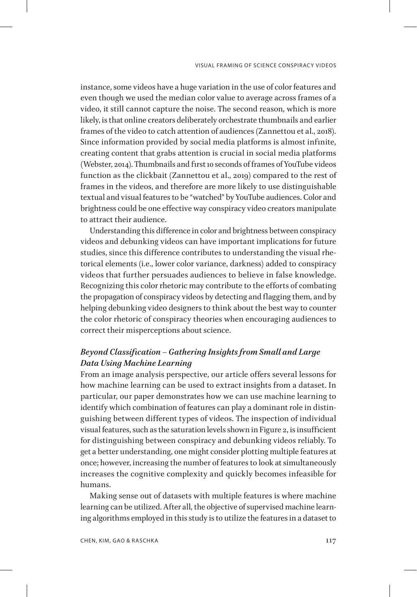instance, some videos have a huge variation in the use of color features and even though we used the median color value to average across frames of a video, it still cannot capture the noise. The second reason, which is more likely, is that online creators deliberately orchestrate thumbnails and earlier frames of the video to catch attention of audiences (Zannettou et al., 2018). Since information provided by social media platforms is almost infinite, creating content that grabs attention is crucial in social media platforms (Webster, 2014). Thumbnails and first 10 seconds of frames of YouTube videos function as the clickbait (Zannettou et al., 2019) compared to the rest of frames in the videos, and therefore are more likely to use distinguishable textual and visual features to be "watched" by YouTube audiences. Color and brightness could be one effective way conspiracy video creators manipulate to attract their audience.

Understanding this difference in color and brightness between conspiracy videos and debunking videos can have important implications for future studies, since this difference contributes to understanding the visual rhetorical elements (i.e., lower color variance, darkness) added to conspiracy videos that further persuades audiences to believe in false knowledge. Recognizing this color rhetoric may contribute to the efforts of combating the propagation of conspiracy videos by detecting and flagging them, and by helping debunking video designers to think about the best way to counter the color rhetoric of conspiracy theories when encouraging audiences to correct their misperceptions about science.

# *Beyond Classification – Gathering Insights from Small and Large Data Using Machine Learning*

From an image analysis perspective, our article offers several lessons for how machine learning can be used to extract insights from a dataset. In particular, our paper demonstrates how we can use machine learning to identify which combination of features can play a dominant role in distinguishing between different types of videos. The inspection of individual visual features, such as the saturation levels shown in Figure 2, is insufficient for distinguishing between conspiracy and debunking videos reliably. To get a better understanding, one might consider plotting multiple features at once; however, increasing the number of features to look at simultaneously increases the cognitive complexity and quickly becomes infeasible for humans.

Making sense out of datasets with multiple features is where machine learning can be utilized. After all, the objective of supervised machine learning algorithms employed in this study is to utilize the features in a dataset to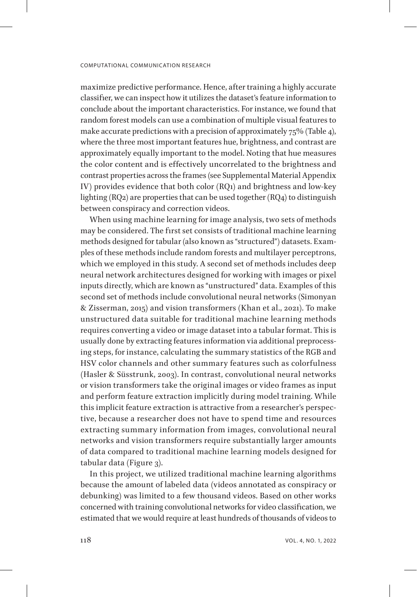maximize predictive performance. Hence, after training a highly accurate classifier, we can inspect how it utilizes the dataset's feature information to conclude about the important characteristics. For instance, we found that random forest models can use a combination of multiple visual features to make accurate predictions with a precision of approximately 75% (Table 4), where the three most important features hue, brightness, and contrast are approximately equally important to the model. Noting that hue measures the color content and is effectively uncorrelated to the brightness and contrast properties across the frames (see Supplemental Material Appendix IV) provides evidence that both color (RQ1) and brightness and low-key lighting (RQ2) are properties that can be used together (RQ4) to distinguish between conspiracy and correction videos.

When using machine learning for image analysis, two sets of methods may be considered. The first set consists of traditional machine learning methods designed for tabular (also known as "structured") datasets. Examples of these methods include random forests and multilayer perceptrons, which we employed in this study. A second set of methods includes deep neural network architectures designed for working with images or pixel inputs directly, which are known as "unstructured" data. Examples of this second set of methods include convolutional neural networks (Simonyan & Zisserman, 2015) and vision transformers (Khan et al., 2021). To make unstructured data suitable for traditional machine learning methods requires converting a video or image dataset into a tabular format. This is usually done by extracting features information via additional preprocessing steps, for instance, calculating the summary statistics of the RGB and HSV color channels and other summary features such as colorfulness (Hasler & Süsstrunk, 2003). In contrast, convolutional neural networks or vision transformers take the original images or video frames as input and perform feature extraction implicitly during model training. While this implicit feature extraction is attractive from a researcher's perspective, because a researcher does not have to spend time and resources extracting summary information from images, convolutional neural networks and vision transformers require substantially larger amounts of data compared to traditional machine learning models designed for tabular data (Figure 3).

In this project, we utilized traditional machine learning algorithms because the amount of labeled data (videos annotated as conspiracy or debunking) was limited to a few thousand videos. Based on other works concerned with training convolutional networks for video classification, we estimated that we would require at least hundreds of thousands of videos to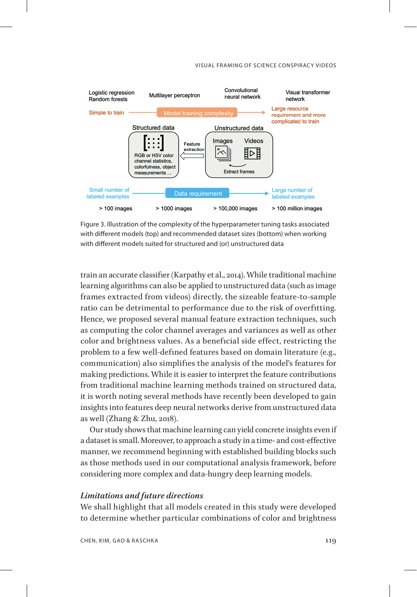#### VISUAL FRAMING OF SCIENCE CONSPIRACY VIDEOS



Figure 3. Illustration of the complexity of the hyperparameter tuning tasks associated with different models (top) and recommended dataset sizes (bottom) when working with different models suited for structured and (or) unstructured data

train an accurate classifier (Karpathy et al., 2014). While traditional machine learning algorithms can also be applied to unstructured data (such as image frames extracted from videos) directly, the sizeable feature-to-sample ratio can be detrimental to performance due to the risk of overfitting. Hence, we proposed several manual feature extraction techniques, such as computing the color channel averages and variances as well as other color and brightness values. As a beneficial side effect, restricting the problem to a few well-defined features based on domain literature (e.g., communication) also simplifies the analysis of the model's features for making predictions. While it is easier to interpret the feature contributions from traditional machine learning methods trained on structured data, it is worth noting several methods have recently been developed to gain insights into features deep neural networks derive from unstructured data as well (Zhang & Zhu, 2018).

Our study shows that machine learning can yield concrete insights even if a dataset is small. Moreover, to approach a study in a time- and cost-effective manner, we recommend beginning with established building blocks such as those methods used in our computational analysis framework, before considering more complex and data-hungry deep learning models.

# *Limitations and future directions*

We shall highlight that all models created in this study were developed to determine whether particular combinations of color and brightness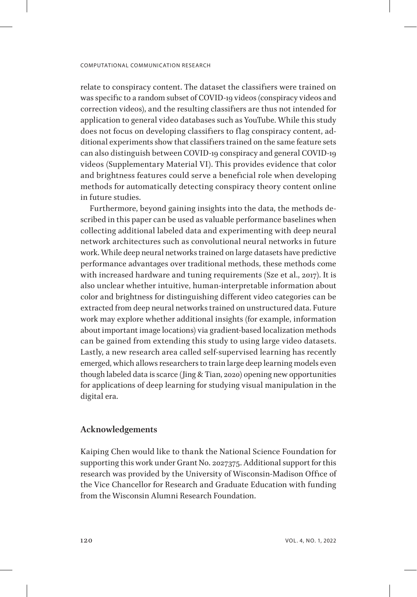relate to conspiracy content. The dataset the classifiers were trained on was specific to a random subset of COVID-19 videos (conspiracy videos and correction videos), and the resulting classifiers are thus not intended for application to general video databases such as YouTube. While this study does not focus on developing classifiers to flag conspiracy content, additional experiments show that classifiers trained on the same feature sets can also distinguish between COVID-19 conspiracy and general COVID-19 videos (Supplementary Material VI). This provides evidence that color and brightness features could serve a beneficial role when developing methods for automatically detecting conspiracy theory content online in future studies.

Furthermore, beyond gaining insights into the data, the methods described in this paper can be used as valuable performance baselines when collecting additional labeled data and experimenting with deep neural network architectures such as convolutional neural networks in future work. While deep neural networks trained on large datasets have predictive performance advantages over traditional methods, these methods come with increased hardware and tuning requirements (Sze et al., 2017). It is also unclear whether intuitive, human-interpretable information about color and brightness for distinguishing different video categories can be extracted from deep neural networks trained on unstructured data. Future work may explore whether additional insights (for example, information about important image locations) via gradient-based localization methods can be gained from extending this study to using large video datasets. Lastly, a new research area called self-supervised learning has recently emerged, which allows researchers to train large deep learning models even though labeled data is scarce (Jing & Tian, 2020) opening new opportunities for applications of deep learning for studying visual manipulation in the digital era.

# **Acknowledgements**

Kaiping Chen would like to thank the National Science Foundation for supporting this work under Grant No. 2027375. Additional support for this research was provided by the University of Wisconsin-Madison Office of the Vice Chancellor for Research and Graduate Education with funding from the Wisconsin Alumni Research Foundation.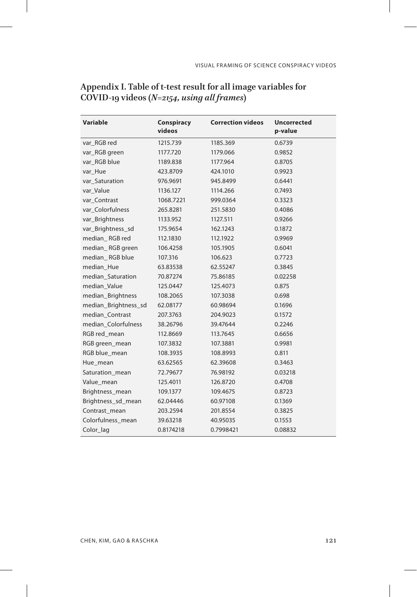| <b>Variable</b>      | Conspiracy | <b>Correction videos</b> | <b>Uncorrected</b> |
|----------------------|------------|--------------------------|--------------------|
|                      | videos     |                          | p-value            |
| var RGB red          | 1215.739   | 1185.369                 | 0.6739             |
| var_RGB green        | 1177.720   | 1179.066                 | 0.9852             |
| var_RGB blue         | 1189.838   | 1177.964                 | 0.8705             |
| var_Hue              | 423.8709   | 424.1010                 | 0.9923             |
| var_Saturation       | 976.9691   | 945.8499                 | 0.6441             |
| var_Value            | 1136.127   | 1114.266                 | 0.7493             |
| var_Contrast         | 1068.7221  | 999.0364                 | 0.3323             |
| var_Colorfulness     | 265.8281   | 251.5830                 | 0.4086             |
| var_Brightness       | 1133.952   | 1127.511                 | 0.9266             |
| var_Brightness_sd    | 175.9654   | 162.1243                 | 0.1872             |
| median RGB red       | 112.1830   | 112.1922                 | 0.9969             |
| median_RGB green     | 106.4258   | 105.1905                 | 0.6041             |
| median RGB blue      | 107.316    | 106.623                  | 0.7723             |
| median Hue           | 63.83538   | 62.55247                 | 0.3845             |
| median_Saturation    | 70.87274   | 75.86185                 | 0.02258            |
| median Value         | 125.0447   | 125.4073                 | 0.875              |
| median_Brightness    | 108.2065   | 107.3038                 | 0.698              |
| median_Brightness_sd | 62.08177   | 60.98694                 | 0.1696             |
| median_Contrast      | 207.3763   | 204.9023                 | 0.1572             |
| median_Colorfulness  | 38.26796   | 39.47644                 | 0.2246             |
| RGB red_mean         | 112.8669   | 113.7645                 | 0.6656             |
| RGB green_mean       | 107.3832   | 107.3881                 | 0.9981             |
| RGB blue_mean        | 108.3935   | 108.8993                 | 0.811              |
| Hue_mean             | 63.62565   | 62.39608                 | 0.3463             |
| Saturation_mean      | 72.79677   | 76.98192                 | 0.03218            |
| Value_mean           | 125.4011   | 126.8720                 | 0.4708             |
| Brightness_mean      | 109.1377   | 109.4675                 | 0.8723             |
| Brightness_sd_mean   | 62.04446   | 60.97108                 | 0.1369             |
| Contrast mean        | 203.2594   | 201.8554                 | 0.3825             |
| Colorfulness mean    | 39.63218   | 40.95035                 | 0.1553             |
| Color_lag            | 0.8174218  | 0.7998421                | 0.08832            |

# **Appendix I. Table of t-test result for all image variables for COVID-19 videos** *(N=2154, using all frames)*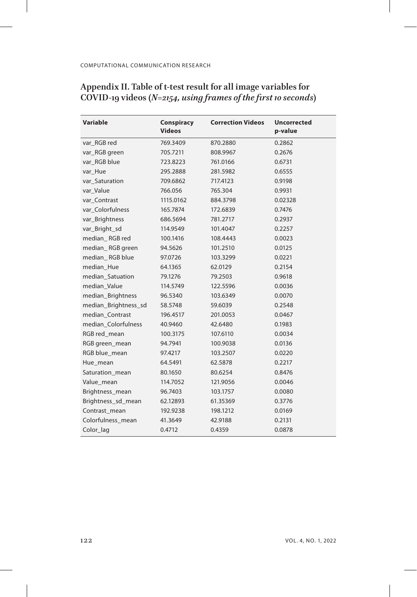$\overline{\phantom{a}}$ 

| Appendix II. Table of t-test result for all image variables for |  |  |
|-----------------------------------------------------------------|--|--|
| COVID-19 videos (N=2154, using frames of the first 10 seconds)  |  |  |

| <b>Variable</b>      | Conspiracy<br><b>Videos</b> | <b>Correction Videos</b> | <b>Uncorrected</b><br>p-value |
|----------------------|-----------------------------|--------------------------|-------------------------------|
| var RGB red          | 769.3409                    | 870.2880                 | 0.2862                        |
| var_RGB green        | 705.7211                    | 808.9967                 | 0.2676                        |
| var RGB blue         | 723.8223                    | 761.0166                 | 0.6731                        |
| var Hue              | 295.2888                    | 281.5982                 | 0.6555                        |
| var_Saturation       | 709.6862                    | 717.4123                 | 0.9198                        |
| var Value            | 766.056                     | 765.304                  | 0.9931                        |
| var Contrast         | 1115.0162                   | 884.3798                 | 0.02328                       |
| var Colorfulness     | 165.7874                    | 172.6839                 | 0.7476                        |
| var_Brightness       | 686.5694                    | 781.2717                 | 0.2937                        |
| var_Bright_sd        | 114.9549                    | 101.4047                 | 0.2257                        |
| median RGB red       | 100.1416                    | 108.4443                 | 0.0023                        |
| median_RGB green     | 94.5626                     | 101.2510                 | 0.0125                        |
| median RGB blue      | 97.0726                     | 103.3299                 | 0.0221                        |
| median_Hue           | 64.1365                     | 62.0129                  | 0.2154                        |
| median Satuation     | 79.1276                     | 79.2503                  | 0.9618                        |
| median_Value         | 114.5749                    | 122.5596                 | 0.0036                        |
| median_Brightness    | 96.5340                     | 103.6349                 | 0.0070                        |
| median_Brightness_sd | 58.5748                     | 59.6039                  | 0.2548                        |
| median_Contrast      | 196.4517                    | 201.0053                 | 0.0467                        |
| median Colorfulness  | 40.9460                     | 42.6480                  | 0.1983                        |
| RGB red_mean         | 100.3175                    | 107.6110                 | 0.0034                        |
| RGB green_mean       | 94.7941                     | 100.9038                 | 0.0136                        |
| RGB blue_mean        | 97.4217                     | 103.2507                 | 0.0220                        |
| Hue_mean             | 64.5491                     | 62.5878                  | 0.2217                        |
| Saturation_mean      | 80.1650                     | 80.6254                  | 0.8476                        |
| Value_mean           | 114.7052                    | 121.9056                 | 0.0046                        |
| Brightness_mean      | 96.7403                     | 103.1757                 | 0.0080                        |
| Brightness_sd_mean   | 62.12893                    | 61.35369                 | 0.3776                        |
| Contrast mean        | 192.9238                    | 198.1212                 | 0.0169                        |
| Colorfulness_mean    | 41.3649                     | 42.9188                  | 0.2131                        |
| Color_lag            | 0.4712                      | 0.4359                   | 0.0878                        |

 $\overline{\phantom{a}}$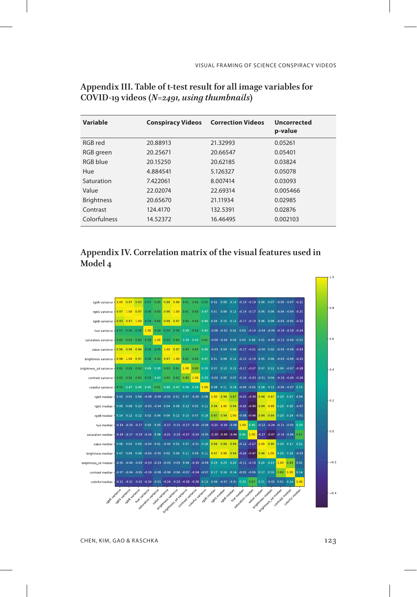| Variable          | <b>Conspiracy Videos</b> | <b>Correction Videos</b> | Uncorrected<br>p-value |
|-------------------|--------------------------|--------------------------|------------------------|
| RGB red           | 20.88913                 | 21.32993                 | 0.05261                |
| RGB green         | 20.25671                 | 20.66547                 | 0.05401                |
| RGB blue          | 20.15250                 | 20.62185                 | 0.03824                |
| Hue               | 4.884541                 | 5.126327                 | 0.05078                |
| Saturation        | 7.422061                 | 8.007414                 | 0.03093                |
| Value             | 22.02074                 | 22.69314                 | 0.005466               |
| <b>Brightness</b> | 20.65670                 | 21.11934                 | 0.02985                |
| Contrast          | 124,4170                 | 132.5391                 | 0.02876                |
| Colorfulness      | 14.52372                 | 16.46495                 | 0.002103               |

# **Appendix III. Table of t-test result for all image variables for COVID-19 videos** *(N=2491, using thumbnails)*

# **Appendix IV. Correlation matrix of the visual features used in Model 4**



CHEN, KIM, GAO & RASCHKA 123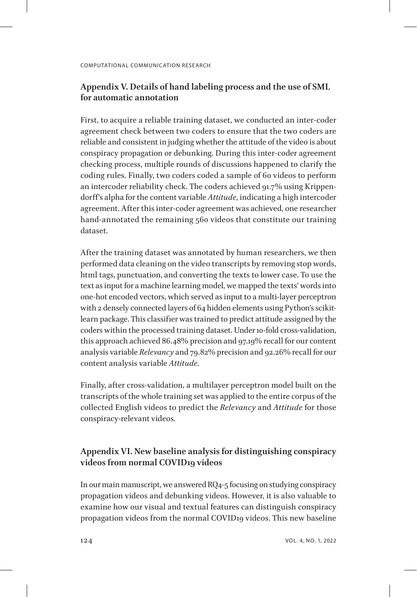# **Appendix V. Details of hand labeling process and the use of SML for automatic annotation**

First, to acquire a reliable training dataset, we conducted an inter-coder agreement check between two coders to ensure that the two coders are reliable and consistent in judging whether the attitude of the video is about conspiracy propagation or debunking. During this inter-coder agreement checking process, multiple rounds of discussions happened to clarify the coding rules. Finally, two coders coded a sample of 60 videos to perform an intercoder reliability check. The coders achieved 91.7% using Krippendorff's alpha for the content variable *Attitude*, indicating a high intercoder agreement. After this inter-coder agreement was achieved, one researcher hand-annotated the remaining 560 videos that constitute our training dataset.

After the training dataset was annotated by human researchers, we then performed data cleaning on the video transcripts by removing stop words, html tags, punctuation, and converting the texts to lower case. To use the text as input for a machine learning model, we mapped the texts' words into one-hot encoded vectors, which served as input to a multi-layer perceptron with 2 densely connected layers of 64 hidden elements using Python's scikitlearn package. This classifier was trained to predict attitude assigned by the coders within the processed training dataset. Under 10-fold cross-validation, this approach achieved 86.48% precision and 97.19% recall for our content analysis variable *Relevancy* and 79.82% precision and 92.26% recall for our content analysis variable *Attitude*.

Finally, after cross-validation, a multilayer perceptron model built on the transcripts of the whole training set was applied to the entire corpus of the collected English videos to predict the *Relevancy* and *Attitude* for those conspiracy-relevant videos.

# **Appendix VI. New baseline analysis for distinguishing conspiracy videos from normal COVID19 videos**

In our main manuscript, we answered RQ4-5 focusing on studying conspiracy propagation videos and debunking videos. However, it is also valuable to examine how our visual and textual features can distinguish conspiracy propagation videos from the normal COVID19 videos. This new baseline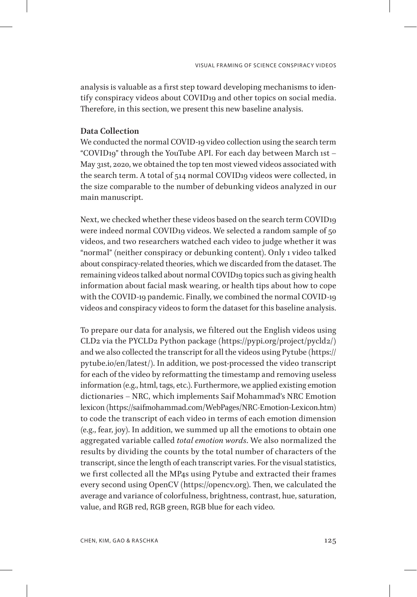analysis is valuable as a first step toward developing mechanisms to identify conspiracy videos about COVID19 and other topics on social media. Therefore, in this section, we present this new baseline analysis.

### **Data Collection**

We conducted the normal COVID-19 video collection using the search term "COVID19" through the YouTube API. For each day between March 1st – May 31st, 2020, we obtained the top ten most viewed videos associated with the search term. A total of 514 normal COVID19 videos were collected, in the size comparable to the number of debunking videos analyzed in our main manuscript.

Next, we checked whether these videos based on the search term COVID19 were indeed normal COVID19 videos. We selected a random sample of 50 videos, and two researchers watched each video to judge whether it was "normal" (neither conspiracy or debunking content). Only 1 video talked about conspiracy-related theories, which we discarded from the dataset. The remaining videos talked about normal COVID19 topics such as giving health information about facial mask wearing, or health tips about how to cope with the COVID-19 pandemic. Finally, we combined the normal COVID-19 videos and conspiracy videos to form the dataset for this baseline analysis.

To prepare our data for analysis, we filtered out the English videos using CLD2 via the PYCLD2 Python package (https://pypi.org/project/pycld2/) and we also collected the transcript for all the videos using Pytube (https:// pytube.io/en/latest/). In addition, we post-processed the video transcript for each of the video by reformatting the timestamp and removing useless information (e.g., html, tags, etc.). Furthermore, we applied existing emotion dictionaries – NRC, which implements Saif Mohammad's NRC Emotion lexicon (https://saifmohammad.com/WebPages/NRC-Emotion-Lexicon.htm) to code the transcript of each video in terms of each emotion dimension (e.g., fear, joy). In addition, we summed up all the emotions to obtain one aggregated variable called *total emotion words*. We also normalized the results by dividing the counts by the total number of characters of the transcript, since the length of each transcript varies. For the visual statistics, we first collected all the MP4s using Pytube and extracted their frames every second using OpenCV (https://opencv.org). Then, we calculated the average and variance of colorfulness, brightness, contrast, hue, saturation, value, and RGB red, RGB green, RGB blue for each video.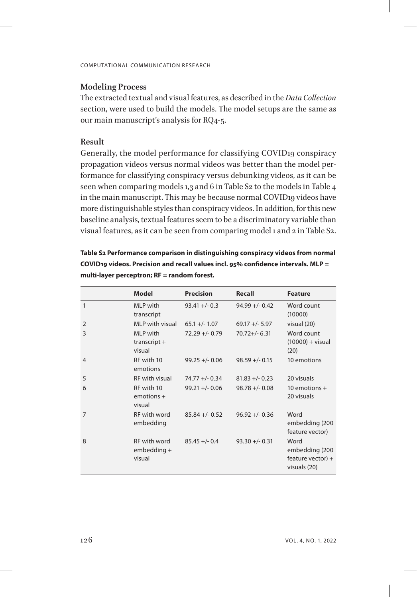### **Modeling Process**

The extracted textual and visual features, as described in the *Data Collection* section, were used to build the models. The model setups are the same as our main manuscript's analysis for RQ4-5.

### **Result**

Generally, the model performance for classifying COVID19 conspiracy propagation videos versus normal videos was better than the model performance for classifying conspiracy versus debunking videos, as it can be seen when comparing models 1,3 and 6 in Table S2 to the models in Table 4 in the main manuscript. This may be because normal COVID19 videos have more distinguishable styles than conspiracy videos. In addition, for this new baseline analysis, textual features seem to be a discriminatory variable than visual features, as it can be seen from comparing model 1 and 2 in Table S2.

**Table S2 Performance comparison in distinguishing conspiracy videos from normal COVID19 videos. Precision and recall values incl. 95% confidence intervals. MLP = multi-layer perceptron; RF = random forest.**

|                | Model                                   | <b>Precision</b>  | Recall            | <b>Feature</b>                                                |
|----------------|-----------------------------------------|-------------------|-------------------|---------------------------------------------------------------|
| $\mathbf{1}$   | MLP with<br>transcript                  | $93.41 +/- 0.3$   | $94.99 + - 0.42$  | Word count<br>(10000)                                         |
| $\overline{2}$ | MI P with visual                        | $65.1 +/- 1.07$   | $69.17 +/- 5.97$  | visual (20)                                                   |
| 3              | MI P with<br>$transcript +$<br>visual   | $72.29 + - 0.79$  | $70.72 + (-6.31)$ | Word count<br>$(10000) + \text{visual}$<br>(20)               |
| $\overline{4}$ | RF with 10<br>emotions                  | $99.25 + - 0.06$  | $98.59 +/- 0.15$  | 10 emotions                                                   |
| 5              | <b>RF</b> with visual                   | $74.77 + (-0.34)$ | $81.83 + -0.23$   | 20 visuals                                                    |
| 6              | RF with 10<br>$emotions +$<br>visual    | $99.21 +/- 0.06$  | $98.78 + -0.08$   | 10 emotions $+$<br>20 visuals                                 |
| $\overline{7}$ | RF with word<br>embedding               | $85.84 + - 0.52$  | $96.92 + - 0.36$  | Word<br>embedding (200<br>feature vector)                     |
| 8              | RF with word<br>$embedding +$<br>visual | $85.45 + -0.4$    | $93.30 +/- 0.31$  | Word<br>embedding (200<br>feature vector) $+$<br>visuals (20) |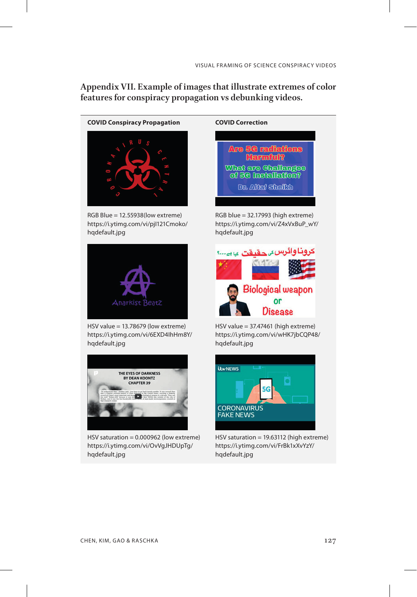**Appendix VII. Example of images that illustrate extremes of color features for conspiracy propagation vs debunking videos.**

**COVID Conspiracy Propagation COVID Correction**



RGB Blue = 12.55938(low extreme) https://i.ytimg.com/vi/pjI121Cmoko/ hqdefault.jpg



HSV value = 13.78679 (low extreme) https://i.ytimg.com/vi/6EXD4IhHm8Y/ hqdefault.jpg



HSV saturation = 0.000962 (low extreme) https://i.ytimg.com/vi/OvVgJHDUpTg/ hqdefault.jpg

# **Are 5G radiations Harmful?** What are Challanges of 5G Installation? Dr. Altal Sheilth

RGB blue = 32.17993 (high extreme) https://i.ytimg.com/vi/Z4xVxBuP\_wY/ hqdefault.jpg



HSV value = 37.47461 (high extreme) https://i.ytimg.com/vi/wHK7jbCQP48/ hqdefault.jpg



HSV saturation = 19.63112 (high extreme) https://i.ytimg.com/vi/FrBk1xXvYzY/ hqdefault.jpg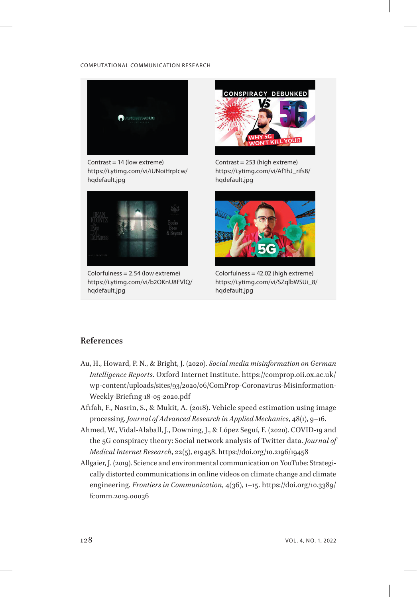

Contrast = 14 (low extreme) https://i.ytimg.com/vi/iUNoiHrpIcw/ hqdefault.jpg



Colorfulness = 2.54 (low extreme) https://i.ytimg.com/vi/b2OKnU8FVlQ/ hqdefault.jpg



Contrast = 253 (high extreme) https://i.ytimg.com/vi/Af1hJ\_rifs8/ hqdefault.jpg



Colorfulness = 42.02 (high extreme) https://i.ytimg.com/vi/SZqlbWSUi\_8/ hqdefault.jpg

# **References**

- Au, H., Howard, P. N., & Bright, J. (2020). *Social media misinformation on German Intelligence Reports*. Oxford Internet Institute. https://comprop.oii.ox.ac.uk/ wp-content/uploads/sites/93/2020/06/ComProp-Coronavirus-Misinformation-Weekly-Briefing-18-05-2020.pdf
- Afifah, F., Nasrin, S., & Mukit, A. (2018). Vehicle speed estimation using image processing. *Journal of Advanced Research in Applied Mechanics*, 48(1), 9–16.
- Ahmed, W., Vidal-Alaball, J., Downing, J., & López Seguí, F. (2020). COVID-19 and the 5G conspiracy theory: Social network analysis of Twitter data. *Journal of Medical Internet Research*, 22(5), e19458. https://doi.org/10.2196/19458
- Allgaier, J. (2019). Science and environmental communication on YouTube: Strategically distorted communications in online videos on climate change and climate engineering. *Frontiers in Communication*, 4(36), 1–15. https://doi.org/10.3389/ fcomm.2019.00036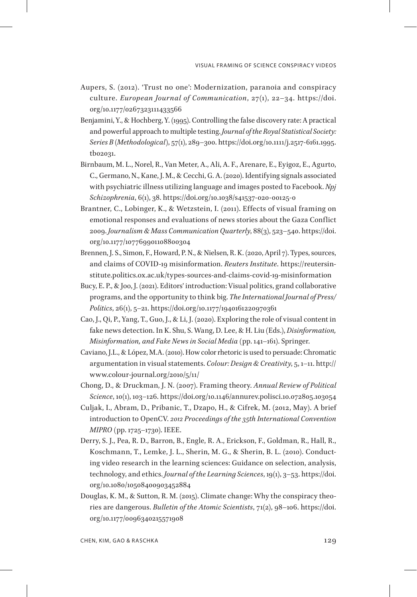- Aupers, S. (2012). 'Trust no one': Modernization, paranoia and conspiracy culture. *European Journal of Communication*, 27(1), 22–34. https://doi. org/10.1177/0267323111433566
- Benjamini, Y., & Hochberg, Y. (1995). Controlling the false discovery rate: A practical and powerful approach to multiple testing. *Journal of the Royal Statistical Society: Series B (Methodological)*, 57(1), 289–300. https://doi.org/10.1111/j.2517-6161.1995. tb02031.
- Birnbaum, M. L., Norel, R., Van Meter, A., Ali, A. F., Arenare, E., Eyigoz, E., Agurto, C., Germano, N., Kane, J. M., & Cecchi, G. A. (2020). Identifying signals associated with psychiatric illness utilizing language and images posted to Facebook. *Npj Schizophrenia*, 6(1), 38. https://doi.org/10.1038/s41537-020-00125-0
- Brantner, C., Lobinger, K., & Wetzstein, I. (2011). Effects of visual framing on emotional responses and evaluations of news stories about the Gaza Conflict 2009. *Journalism & Mass Communication Quarterly*, 88(3), 523–540. https://doi. org/10.1177/107769901108800304
- Brennen, J. S., Simon, F., Howard, P. N., & Nielsen, R. K. (2020, April 7). Types, sources, and claims of COVID-19 misinformation. *Reuters Institute*. https://reutersinstitute.politics.ox.ac.uk/types-sources-and-claims-covid-19-misinformation
- Bucy, E. P., & Joo, J. (2021). Editors' introduction: Visual politics, grand collaborative programs, and the opportunity to think big. *The International Journal of Press/ Politics*, 26(1), 5–21. https://doi.org/10.1177/1940161220970361
- Cao, J., Qi, P., Yang, T., Guo, J., & Li, J. (2020). Exploring the role of visual content in fake news detection. In K. Shu, S. Wang, D. Lee, & H. Liu (Eds.), *Disinformation, Misinformation, and Fake News in Social Media* (pp. 141–161). Springer.
- Caviano, J.L., & López, M.A. (2010). How color rhetoric is used to persuade: Chromatic argumentation in visual statements. *Colour: Design & Creativity*, 5, 1–11. http:// www.colour-journal.org/2010/5/11/
- Chong, D., & Druckman, J. N. (2007). Framing theory. *Annual Review of Political Science*, 10(1), 103–126. https://doi.org/10.1146/annurev.polisci.10.072805.103054
- Culjak, I., Abram, D., Pribanic, T., Dzapo, H., & Cifrek, M. (2012, May). A brief introduction to OpenCV. *2012 Proceedings of the 35th International Convention MIPRO* (pp. 1725–1730). IEEE.
- Derry, S. J., Pea, R. D., Barron, B., Engle, R. A., Erickson, F., Goldman, R., Hall, R., Koschmann, T., Lemke, J. L., Sherin, M. G., & Sherin, B. L. (2010). Conducting video research in the learning sciences: Guidance on selection, analysis, technology, and ethics. *Journal of the Learning Sciences*, 19(1), 3–53. https://doi. org/10.1080/10508400903452884
- Douglas, K. M., & Sutton, R. M. (2015). Climate change: Why the conspiracy theories are dangerous. *Bulletin of the Atomic Scientists*, 71(2), 98–106. https://doi. org/10.1177/0096340215571908

CHEN, KIM, GAO & RASCHKA 129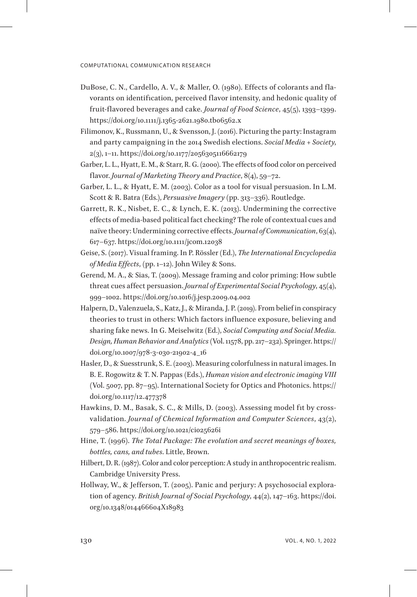- DuBose, C. N., Cardello, A. V., & Maller, O. (1980). Effects of colorants and flavorants on identification, perceived flavor intensity, and hedonic quality of fruit-flavored beverages and cake. *Journal of Food Science*, 45(5), 1393–1399. https://doi.org/10.1111/j.1365-2621.1980.tb06562.x
- Filimonov, K., Russmann, U., & Svensson, J. (2016). Picturing the party: Instagram and party campaigning in the 2014 Swedish elections. *Social Media + Society*, 2(3), 1–11. https://doi.org/10.1177/2056305116662179
- Garber, L. L., Hyatt, E. M., & Starr, R. G. (2000). The effects of food color on perceived flavor. *Journal of Marketing Theory and Practice*, 8(4), 59–72.
- Garber, L. L., & Hyatt, E. M. (2003). Color as a tool for visual persuasion. In L.M. Scott & R. Batra (Eds.), *Persuasive Imagery* (pp. 313–336). Routledge.
- Garrett, R. K., Nisbet, E. C., & Lynch, E. K. (2013). Undermining the corrective effects of media-based political fact checking? The role of contextual cues and naïve theory: Undermining corrective effects. *Journal of Communication*, 63(4), 617–637. https://doi.org/10.1111/jcom.12038
- Geise, S. (2017). Visual framing. In P. Rössler (Ed.), *The International Encyclopedia of Media Effects*, (pp. 1–12). John Wiley & Sons.
- Gerend, M. A., & Sias, T. (2009). Message framing and color priming: How subtle threat cues affect persuasion. *Journal of Experimental Social Psychology*, 45(4), 999–1002. https://doi.org/10.1016/j.jesp.2009.04.002
- Halpern, D., Valenzuela, S., Katz, J., & Miranda, J. P. (2019). From belief in conspiracy theories to trust in others: Which factors influence exposure, believing and sharing fake news. In G. Meiselwitz (Ed.), *Social Computing and Social Media. Design, Human Behavior and Analytics* (Vol. 11578, pp. 217–232). Springer. https:// doi.org/10.1007/978-3-030-21902-4\_16
- Hasler, D., & Suesstrunk, S. E. (2003). Measuring colorfulness in natural images. In B. E. Rogowitz & T. N. Pappas (Eds.), *Human vision and electronic imaging VIII* (Vol. 5007, pp. 87–95). International Society for Optics and Photonics. https:// doi.org/10.1117/12.477378
- Hawkins, D. M., Basak, S. C., & Mills, D. (2003). Assessing model fit by crossvalidation. *Journal of Chemical Information and Computer Sciences*, 43(2), 579–586. https://doi.org/10.1021/ci025626i
- Hine, T. (1996). *The Total Package: The evolution and secret meanings of boxes, bottles, cans, and tubes*. Little, Brown.
- Hilbert, D. R. (1987). Color and color perception: A study in anthropocentric realism. Cambridge University Press.
- Hollway, W., & Jefferson, T. (2005). Panic and perjury: A psychosocial exploration of agency. *British Journal of Social Psychology*, 44(2), 147–163. https://doi. org/10.1348/014466604X18983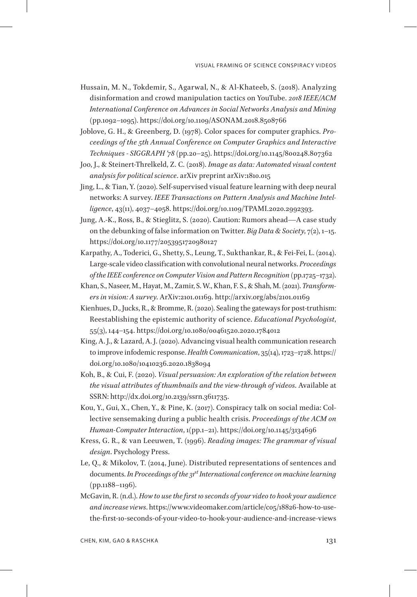- Hussain, M. N., Tokdemir, S., Agarwal, N., & Al-Khateeb, S. (2018). Analyzing disinformation and crowd manipulation tactics on YouTube. *2018 IEEE/ACM International Conference on Advances in Social Networks Analysis and Mining* (pp.1092–1095). https://doi.org/10.1109/ASONAM.2018.8508766
- Joblove, G. H., & Greenberg, D. (1978). Color spaces for computer graphics. *Proceedings of the 5th Annual Conference on Computer Graphics and Interactive Techniques - SIGGRAPH '78* (pp.20–25). https://doi.org/10.1145/800248.807362
- Joo, J., & Steinert-Threlkeld, Z. C. (2018). *Image as data: Automated visual content analysis for political science*. arXiv preprint arXiv:1810.015
- Jing, L., & Tian, Y. (2020). Self-supervised visual feature learning with deep neural networks: A survey. *IEEE Transactions on Pattern Analysis and Machine Intelligence*, 43(11), 4037–4058. https://doi.org/10.1109/TPAMI.2020.2992393.
- Jung, A.-K., Ross, B., & Stieglitz, S. (2020). Caution: Rumors ahead—A case study on the debunking of false information on Twitter. *Big Data & Society*, 7(2), 1–15. https://doi.org/10.1177/2053951720980127
- Karpathy, A., Toderici, G., Shetty, S., Leung, T., Sukthankar, R., & Fei-Fei, L. (2014). Large-scale video classification with convolutional neural networks. *Proceedings of the IEEE conference on Computer Vision and Pattern Recognition* (pp.1725–1732).
- Khan, S., Naseer, M., Hayat, M., Zamir, S. W., Khan, F. S., & Shah, M. (2021). *Transformers in vision: A survey*. ArXiv:2101.01169. http://arxiv.org/abs/2101.01169
- Kienhues, D., Jucks, R., & Bromme, R. (2020). Sealing the gateways for post-truthism: Reestablishing the epistemic authority of science. *Educational Psychologist*, 55(3), 144–154. https://doi.org/10.1080/00461520.2020.1784012
- King, A. J., & Lazard, A. J. (2020). Advancing visual health communication research to improve infodemic response. *Health Communication*, 35(14), 1723–1728. https:// doi.org/10.1080/10410236.2020.1838094
- Koh, B., & Cui, F. (2020). *Visual persuasion: An exploration of the relation between the visual attributes of thumbnails and the view-through of videos*. Available at SSRN: http://dx.doi.org/10.2139/ssrn.3611735.
- Kou, Y., Gui, X., Chen, Y., & Pine, K. (2017). Conspiracy talk on social media: Collective sensemaking during a public health crisis. *Proceedings of the ACM on Human-Computer Interaction*, 1(pp.1–21). https://doi.org/10.1145/3134696
- Kress, G. R., & van Leeuwen, T. (1996). *Reading images: The grammar of visual design*. Psychology Press.
- Le, Q., & Mikolov, T. (2014, June). Distributed representations of sentences and documents. *In Proceedings of the 31st International conference on machine learning* (pp.1188–1196).
- McGavin, R. (n.d.). *How to use the first 10 seconds of your video to hook your audience and increase views*. https://www.videomaker.com/article/c05/18826-how-to-usethe-first-10-seconds-of-your-video-to-hook-your-audience-and-increase-views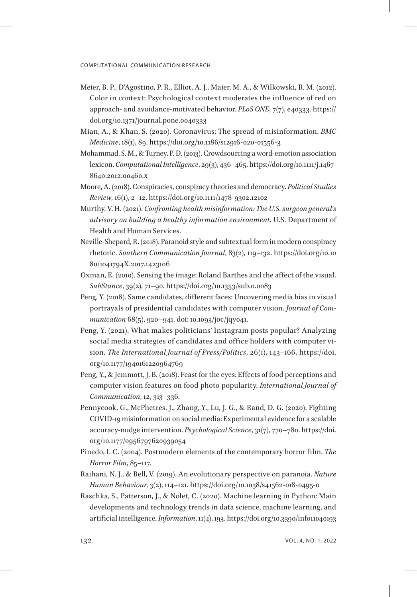- Meier, B. P., D'Agostino, P. R., Elliot, A. J., Maier, M. A., & Wilkowski, B. M. (2012). Color in context: Psychological context moderates the influence of red on approach- and avoidance-motivated behavior. *PLoS ONE*, 7(7), e40333. https:// doi.org/10.1371/journal.pone.0040333
- Mian, A., & Khan, S. (2020). Coronavirus: The spread of misinformation. *BMC Medicine*, 18(1), 89. https://doi.org/10.1186/s12916-020-01556-3
- Mohammad, S. M., & Turney, P. D. (2013). Crowdsourcing a word-emotion association lexicon. *Computational Intelligence*, 29(3), 436–465. https://doi.org/10.1111/j.1467- 8640.2012.00460.x
- Moore, A. (2018). Conspiracies, conspiracy theories and democracy. *Political Studies Review*, 16(1), 2–12. https://doi.org/10.1111/1478-9302.12102
- Murthy, V. H. (2021). *Confronting health misinformation: The U.S. surgeon general's advisory on building a healthy information environment*. U.S. Department of Health and Human Services.
- Neville-Shepard, R. (2018). Paranoid style and subtextual form in modern conspiracy rhetoric. *Southern Communication Journal*, 83(2), 119–132. https://doi.org/10.10 80/1041794X.2017.1423106
- Oxman, E. (2010). Sensing the image: Roland Barthes and the affect of the visual. *SubStance*, 39(2), 71–90. https://doi.org/10.1353/sub.0.0083
- Peng, Y. (2018). Same candidates, different faces: Uncovering media bias in visual portrayals of presidential candidates with computer vision. *Journal of Communication* 68(5), 920–941. doi: 10.1093/joc/jqy041.
- Peng, Y. (2021). What makes politicians' Instagram posts popular? Analyzing social media strategies of candidates and office holders with computer vision. *The International Journal of Press/Politics*, 26(1), 143–166. https://doi. org/10.1177/1940161220964769
- Peng, Y., & Jemmott, J. B. (2018). Feast for the eyes: Effects of food perceptions and computer vision features on food photo popularity. *International Journal of Communication*, 12, 313–336.
- Pennycook, G., McPhetres, J., Zhang, Y., Lu, J. G., & Rand, D. G. (2020). Fighting COVID-19 misinformation on social media: Experimental evidence for a scalable accuracy-nudge intervention. *Psychological Science*, 31(7), 770–780. https://doi. org/10.1177/0956797620939054
- Pinedo, I. C. (2004). Postmodern elements of the contemporary horror film. *The Horror Film*, 85–117.
- Raihani, N. J., & Bell, V. (2019). An evolutionary perspective on paranoia. *Nature Human Behaviour*, 3(2), 114–121. https://doi.org/10.1038/s41562-018-0495-0
- Raschka, S., Patterson, J., & Nolet, C. (2020). Machine learning in Python: Main developments and technology trends in data science, machine learning, and artificial intelligence. *Information*, 11(4), 193. https://doi.org/10.3390/info11040193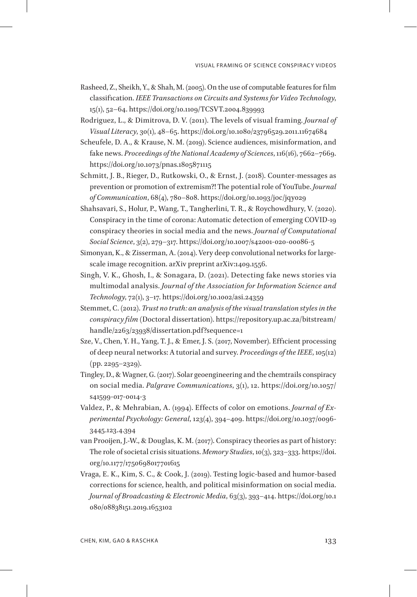- Rasheed, Z., Sheikh, Y., & Shah, M. (2005). On the use of computable features for film classification. *IEEE Transactions on Circuits and Systems for Video Technology*, 15(1), 52–64. https://doi.org/10.1109/TCSVT.2004.839993
- Rodriguez, L., & Dimitrova, D. V. (2011). The levels of visual framing. *Journal of Visual Literacy*, 30(1), 48–65. https://doi.org/10.1080/23796529.2011.11674684
- Scheufele, D. A., & Krause, N. M. (2019). Science audiences, misinformation, and fake news. *Proceedings of the National Academy of Sciences*, 116(16), 7662–7669. https://doi.org/10.1073/pnas.1805871115
- Schmitt, J. B., Rieger, D., Rutkowski, O., & Ernst, J. (2018). Counter-messages as prevention or promotion of extremism?! The potential role of YouTube. *Journal of Communication*, 68(4), 780–808. https://doi.org/10.1093/joc/jqy029
- Shahsavari, S., Holur, P., Wang, T., Tangherlini, T. R., & Roychowdhury, V. (2020). Conspiracy in the time of corona: Automatic detection of emerging COVID-19 conspiracy theories in social media and the news. *Journal of Computational Social Science*, 3(2), 279–317. https://doi.org/10.1007/s42001-020-00086-5
- Simonyan, K., & Zisserman, A. (2014). Very deep convolutional networks for largescale image recognition. arXiv preprint arXiv:1409.1556.
- Singh, V. K., Ghosh, I., & Sonagara, D. (2021). Detecting fake news stories via multimodal analysis. *Journal of the Association for Information Science and Technology*, 72(1), 3–17. https://doi.org/10.1002/asi.24359
- Stemmet, C. (2012). *Trust no truth: an analysis of the visual translation styles in the conspiracy film* (Doctoral dissertation). https://repository.up.ac.za/bitstream/ handle/2263/23938/dissertation.pdf?sequence=1
- Sze, V., Chen, Y. H., Yang, T. J., & Emer, J. S. (2017, November). Efficient processing of deep neural networks: A tutorial and survey. *Proceedings of the IEEE*, 105(12) (pp. 2295–2329).
- Tingley, D., & Wagner, G. (2017). Solar geoengineering and the chemtrails conspiracy on social media. *Palgrave Communications*, 3(1), 12. https://doi.org/10.1057/ s41599-017-0014-3
- Valdez, P., & Mehrabian, A. (1994). Effects of color on emotions. *Journal of Experimental Psychology: General*, 123(4), 394–409. https://doi.org/10.1037/0096- 3445.123.4.394
- van Prooijen, J.-W., & Douglas, K. M. (2017). Conspiracy theories as part of history: The role of societal crisis situations. *Memory Studies*, 10(3), 323–333. https://doi. org/10.1177/1750698017701615
- Vraga, E. K., Kim, S. C., & Cook, J. (2019). Testing logic-based and humor-based corrections for science, health, and political misinformation on social media. *Journal of Broadcasting & Electronic Media*, 63(3), 393–414. https://doi.org/10.1 080/08838151.2019.1653102